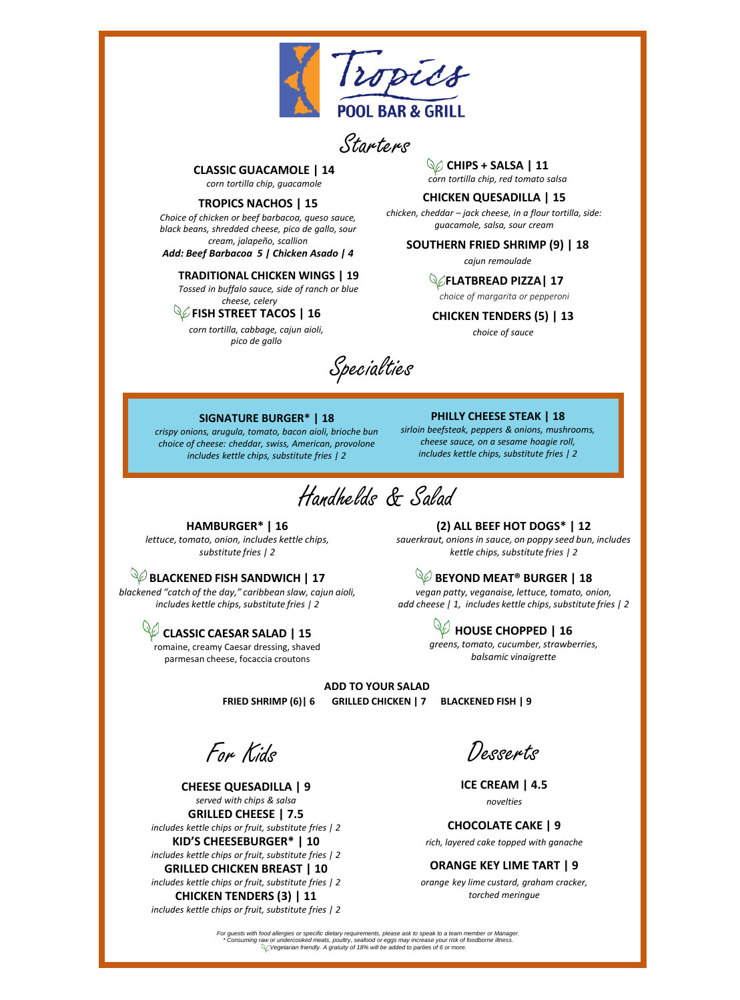

Starters

#### **CLASSIC GUACAMOLE | 14** *corn tortilla chip, guacamole*

#### **TROPICS NACHOS | 15**

*Choice of chicken or beef barbacoa, queso sauce, black beans, shredded cheese, pico de gallo, sour cream, jalapeño, scallion* 

*Add: Beef Barbacoa 5 | Chicken Asado | 4*

**TRADITIONAL CHICKEN WINGS | 19** 

*Tossed in buffalo sauce, side of ranch or blue cheese, celery*

**FISH STREET TACOS | 16**

*corn tortilla, cabbage, cajun aioli, pico de gallo*

# **CHIPS + SALSA | 11**

*corn tortilla chip, red tomato salsa*

### **CHICKEN QUESADILLA | 15**

*chicken, cheddar – jack cheese, in a flour tortilla, side: guacamole, salsa, sour cream* 

#### **SOUTHERN FRIED SHRIMP (9) | 18**

*cajun remoulade*

#### **FLATBREAD PIZZA| 17**

*choice of margarita or pepperoni*

**CHICKEN TENDERS (5) | 13** *choice of sauce*

Specialties

#### **SIGNATURE BURGER\* | 18**

*crispy onions, arugula, tomato, bacon aioli, brioche bun choice of cheese: cheddar, swiss, American, provolone includes kettle chips, substitute fries | 2*

**PHILLY CHEESE STEAK | 18**  *sirloin beefsteak, peppers & onions, mushrooms, cheese sauce, on a sesame hoagie roll,* 

*includes kettle chips, substitute fries | 2*

Handhelds & Salad

#### **HAMBURGER\* | 16**

*lettuce, tomato, onion, includes kettle chips, substitute fries | 2*

## **BLACKENED FISH SANDWICH | 17**

*blackened "catch of the day," caribbean slaw, cajun aioli, includes kettle chips, substitute fries | 2*

> **CLASSIC CAESAR SALAD | 15**  romaine, creamy Caesar dressing, shaved parmesan cheese, focaccia croutons

**(2) ALL BEEF HOT DOGS\* | 12**

*sauerkraut, onions in sauce, on poppy seed bun, includes kettle chips, substitute fries | 2*

## **BEYOND MEAT® BURGER | 18**

*vegan patty, veganaise, lettuce, tomato, onion, add cheese | 1, includes kettle chips, substitute fries | 2* 

> **W** HOUSE CHOPPED | 16 *greens, tomato, cucumber, strawberries, balsamic vinaigrette*

**ADD TO YOUR SALAD FRIED SHRIMP (6)| 6 GRILLED CHICKEN | 7 BLACKENED FISH | 9**

For Kids

**CHEESE QUESADILLA | 9** *served with chips & salsa* **GRILLED CHEESE | 7.5** *includes kettle chips or fruit, substitute fries | 2* **KID'S CHEESEBURGER\* | 10** *includes kettle chips or fruit, substitute fries | 2* **GRILLED CHICKEN BREAST | 10**

*includes kettle chips or fruit, substitute fries | 2* **CHICKEN TENDERS (3) | 11**

*includes kettle chips or fruit, substitute fries | 2*

Desserts

**ICE CREAM | 4.5** *novelties*

**CHOCOLATE CAKE | 9** *rich, layered cake topped with ganache*

**ORANGE KEY LIME TART | 9** 

*orange key lime custard, graham cracker, torched meringue*

For guests with food allergies or specific dietary requirements, please ask to speak to a team member or Manager.<br>Consuming raw or undercooked meats, poultry, seafood or eggs may increase your risk of toodborne illness. "